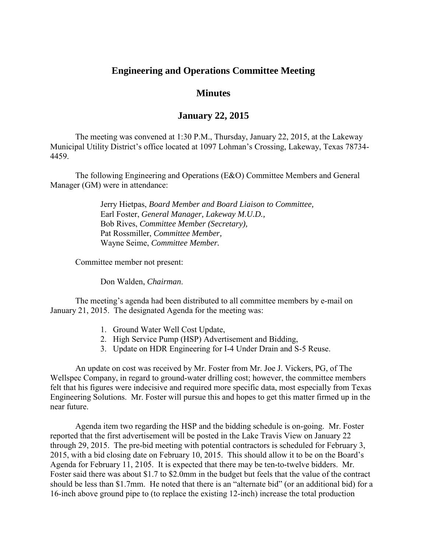## **Engineering and Operations Committee Meeting**

## **Minutes**

## **January 22, 2015**

The meeting was convened at 1:30 P.M., Thursday, January 22, 2015, at the Lakeway Municipal Utility District's office located at 1097 Lohman's Crossing, Lakeway, Texas 78734- 4459.

 The following Engineering and Operations (E&O) Committee Members and General Manager (GM) were in attendance:

> Jerry Hietpas, *Board Member and Board Liaison to Committee,*  Earl Foster, *General Manager, Lakeway M.U.D.,*  Bob Rives, *Committee Member (Secretary),*  Pat Rossmiller, *Committee Member,*  Wayne Seime, *Committee Member.*

Committee member not present:

Don Walden, *Chairman*.

The meeting's agenda had been distributed to all committee members by e-mail on January 21, 2015. The designated Agenda for the meeting was:

- 1. Ground Water Well Cost Update,
- 2. High Service Pump (HSP) Advertisement and Bidding,
- 3. Update on HDR Engineering for I-4 Under Drain and S-5 Reuse.

An update on cost was received by Mr. Foster from Mr. Joe J. Vickers, PG, of The Wellspec Company, in regard to ground-water drilling cost; however, the committee members felt that his figures were indecisive and required more specific data, most especially from Texas Engineering Solutions. Mr. Foster will pursue this and hopes to get this matter firmed up in the near future.

 Agenda item two regarding the HSP and the bidding schedule is on-going. Mr. Foster reported that the first advertisement will be posted in the Lake Travis View on January 22 through 29, 2015. The pre-bid meeting with potential contractors is scheduled for February 3, 2015, with a bid closing date on February 10, 2015. This should allow it to be on the Board's Agenda for February 11, 2105. It is expected that there may be ten-to-twelve bidders. Mr. Foster said there was about \$1.7 to \$2.0mm in the budget but feels that the value of the contract should be less than \$1.7mm. He noted that there is an "alternate bid" (or an additional bid) for a 16-inch above ground pipe to (to replace the existing 12-inch) increase the total production